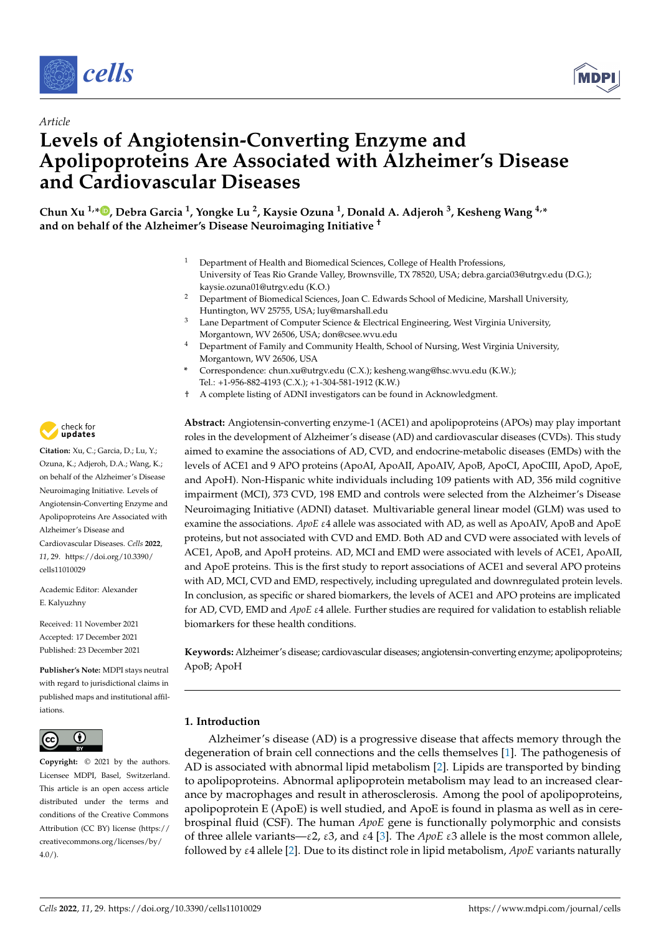



# *Article* **Levels of Angiotensin-Converting Enzyme and Apolipoproteins Are Associated with Alzheimer's Disease and Cardiovascular Diseases**

**Chun Xu 1,[\\*](https://orcid.org/0000-0001-7893-6341) , Debra Garcia <sup>1</sup> , Yongke Lu <sup>2</sup> , Kaysie Ozuna <sup>1</sup> , Donald A. Adjeroh <sup>3</sup> , Kesheng Wang 4,\* and on behalf of the Alzheimer's Disease Neuroimaging Initiative †**

- <sup>1</sup> Department of Health and Biomedical Sciences, College of Health Professions, University of Teas Rio Grande Valley, Brownsville, TX 78520, USA; debra.garcia03@utrgv.edu (D.G.); kaysie.ozuna01@utrgv.edu (K.O.)
- <sup>2</sup> Department of Biomedical Sciences, Joan C. Edwards School of Medicine, Marshall University, Huntington, WV 25755, USA; luy@marshall.edu
- <sup>3</sup> Lane Department of Computer Science & Electrical Engineering, West Virginia University, Morgantown, WV 26506, USA; don@csee.wvu.edu
- <sup>4</sup> Department of Family and Community Health, School of Nursing, West Virginia University, Morgantown, WV 26506, USA
- **\*** Correspondence: chun.xu@utrgv.edu (C.X.); kesheng.wang@hsc.wvu.edu (K.W.); Tel.: +1-956-882-4193 (C.X.); +1-304-581-1912 (K.W.)
- † A complete listing of ADNI investigators can be found in Acknowledgment.

**Abstract:** Angiotensin-converting enzyme-1 (ACE1) and apolipoproteins (APOs) may play important roles in the development of Alzheimer's disease (AD) and cardiovascular diseases (CVDs). This study aimed to examine the associations of AD, CVD, and endocrine-metabolic diseases (EMDs) with the levels of ACE1 and 9 APO proteins (ApoAI, ApoAII, ApoAIV, ApoB, ApoCI, ApoCIII, ApoD, ApoE, and ApoH). Non-Hispanic white individuals including 109 patients with AD, 356 mild cognitive impairment (MCI), 373 CVD, 198 EMD and controls were selected from the Alzheimer's Disease Neuroimaging Initiative (ADNI) dataset. Multivariable general linear model (GLM) was used to examine the associations. *ApoE* ε4 allele was associated with AD, as well as ApoAIV, ApoB and ApoE proteins, but not associated with CVD and EMD. Both AD and CVD were associated with levels of ACE1, ApoB, and ApoH proteins. AD, MCI and EMD were associated with levels of ACE1, ApoAII, and ApoE proteins. This is the first study to report associations of ACE1 and several APO proteins with AD, MCI, CVD and EMD, respectively, including upregulated and downregulated protein levels. In conclusion, as specific or shared biomarkers, the levels of ACE1 and APO proteins are implicated for AD, CVD, EMD and *ApoE* ε4 allele. Further studies are required for validation to establish reliable biomarkers for these health conditions.

**Keywords:** Alzheimer's disease; cardiovascular diseases; angiotensin-converting enzyme; apolipoproteins; ApoB; ApoH

## **1. Introduction**

Alzheimer's disease (AD) is a progressive disease that affects memory through the degeneration of brain cell connections and the cells themselves [\[1\]](#page-10-0). The pathogenesis of AD is associated with abnormal lipid metabolism [\[2\]](#page-10-1). Lipids are transported by binding to apolipoproteins. Abnormal aplipoprotein metabolism may lead to an increased clearance by macrophages and result in atherosclerosis. Among the pool of apolipoproteins, apolipoprotein E (ApoE) is well studied, and ApoE is found in plasma as well as in cerebrospinal fluid (CSF). The human *ApoE* gene is functionally polymorphic and consists of three allele variants—ε2, ε3, and ε4 [\[3\]](#page-10-2). The *ApoE* ε3 allele is the most common allele, followed by ε4 allele [\[2\]](#page-10-1). Due to its distinct role in lipid metabolism, *ApoE* variants naturally



**Citation:** Xu, C.; Garcia, D.; Lu, Y.; Ozuna, K.; Adjeroh, D.A.; Wang, K.; on behalf of the Alzheimer's Disease Neuroimaging Initiative. Levels of Angiotensin-Converting Enzyme and Apolipoproteins Are Associated with Alzheimer's Disease and Cardiovascular Diseases. *Cells* **2022**, *11*, 29. [https://doi.org/10.3390/](https://doi.org/10.3390/cells11010029) [cells11010029](https://doi.org/10.3390/cells11010029)

Academic Editor: Alexander E. Kalyuzhny

Received: 11 November 2021 Accepted: 17 December 2021 Published: 23 December 2021

**Publisher's Note:** MDPI stays neutral with regard to jurisdictional claims in published maps and institutional affiliations.



**Copyright:** © 2021 by the authors. Licensee MDPI, Basel, Switzerland. This article is an open access article distributed under the terms and conditions of the Creative Commons Attribution (CC BY) license [\(https://](https://creativecommons.org/licenses/by/4.0/) [creativecommons.org/licenses/by/](https://creativecommons.org/licenses/by/4.0/)  $4.0/$ ).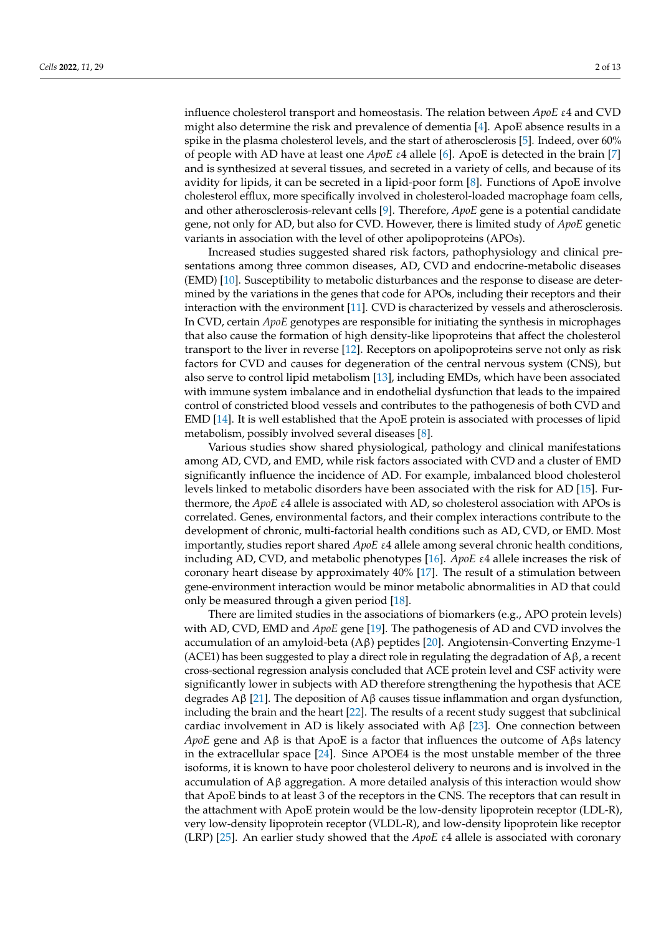influence cholesterol transport and homeostasis. The relation between *ApoE* ε4 and CVD might also determine the risk and prevalence of dementia [\[4\]](#page-10-3). ApoE absence results in a spike in the plasma cholesterol levels, and the start of atherosclerosis [\[5\]](#page-10-4). Indeed, over 60% of people with AD have at least one *ApoE* ε4 allele [\[6\]](#page-10-5). ApoE is detected in the brain [\[7\]](#page-10-6) and is synthesized at several tissues, and secreted in a variety of cells, and because of its avidity for lipids, it can be secreted in a lipid-poor form [\[8\]](#page-10-7). Functions of ApoE involve cholesterol efflux, more specifically involved in cholesterol-loaded macrophage foam cells, and other atherosclerosis-relevant cells [\[9\]](#page-10-8). Therefore, *ApoE* gene is a potential candidate gene, not only for AD, but also for CVD. However, there is limited study of *ApoE* genetic variants in association with the level of other apolipoproteins (APOs).

Increased studies suggested shared risk factors, pathophysiology and clinical presentations among three common diseases, AD, CVD and endocrine-metabolic diseases (EMD) [\[10\]](#page-10-9). Susceptibility to metabolic disturbances and the response to disease are determined by the variations in the genes that code for APOs, including their receptors and their interaction with the environment [\[11\]](#page-10-10). CVD is characterized by vessels and atherosclerosis. In CVD, certain *ApoE* genotypes are responsible for initiating the synthesis in microphages that also cause the formation of high density-like lipoproteins that affect the cholesterol transport to the liver in reverse [\[12\]](#page-10-11). Receptors on apolipoproteins serve not only as risk factors for CVD and causes for degeneration of the central nervous system (CNS), but also serve to control lipid metabolism [\[13\]](#page-10-12), including EMDs, which have been associated with immune system imbalance and in endothelial dysfunction that leads to the impaired control of constricted blood vessels and contributes to the pathogenesis of both CVD and EMD [\[14\]](#page-10-13). It is well established that the ApoE protein is associated with processes of lipid metabolism, possibly involved several diseases [\[8\]](#page-10-7).

Various studies show shared physiological, pathology and clinical manifestations among AD, CVD, and EMD, while risk factors associated with CVD and a cluster of EMD significantly influence the incidence of AD. For example, imbalanced blood cholesterol levels linked to metabolic disorders have been associated with the risk for AD [\[15\]](#page-11-0). Furthermore, the *ApoE* ε4 allele is associated with AD, so cholesterol association with APOs is correlated. Genes, environmental factors, and their complex interactions contribute to the development of chronic, multi-factorial health conditions such as AD, CVD, or EMD. Most importantly, studies report shared *ApoE* ε4 allele among several chronic health conditions, including AD, CVD, and metabolic phenotypes [\[16\]](#page-11-1). *ApoE* ε4 allele increases the risk of coronary heart disease by approximately 40% [\[17\]](#page-11-2). The result of a stimulation between gene-environment interaction would be minor metabolic abnormalities in AD that could only be measured through a given period [\[18\]](#page-11-3).

There are limited studies in the associations of biomarkers (e.g., APO protein levels) with AD, CVD, EMD and *ApoE* gene [\[19\]](#page-11-4). The pathogenesis of AD and CVD involves the accumulation of an amyloid-beta (Aβ) peptides [\[20\]](#page-11-5). Angiotensin-Converting Enzyme-1 (ACE1) has been suggested to play a direct role in regulating the degradation of  $\mathbf{A}\beta$ , a recent cross-sectional regression analysis concluded that ACE protein level and CSF activity were significantly lower in subjects with AD therefore strengthening the hypothesis that ACE degrades Aβ [\[21\]](#page-11-6). The deposition of Aβ causes tissue inflammation and organ dysfunction, including the brain and the heart [\[22\]](#page-11-7). The results of a recent study suggest that subclinical cardiac involvement in AD is likely associated with A $\beta$  [\[23\]](#page-11-8). One connection between *ApoE* gene and Aβ is that ApoE is a factor that influences the outcome of Aβs latency in the extracellular space [\[24\]](#page-11-9). Since APOE4 is the most unstable member of the three isoforms, it is known to have poor cholesterol delivery to neurons and is involved in the accumulation of Aβ aggregation. A more detailed analysis of this interaction would show that ApoE binds to at least 3 of the receptors in the CNS. The receptors that can result in the attachment with ApoE protein would be the low-density lipoprotein receptor (LDL-R), very low-density lipoprotein receptor (VLDL-R), and low-density lipoprotein like receptor (LRP) [\[25\]](#page-11-10). An earlier study showed that the *ApoE* ε4 allele is associated with coronary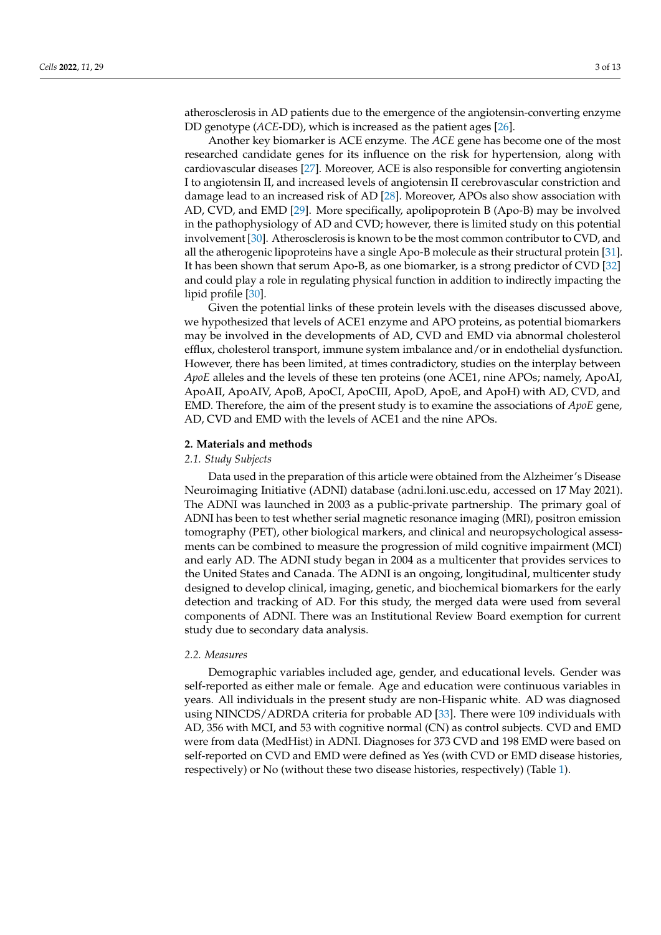atherosclerosis in AD patients due to the emergence of the angiotensin-converting enzyme DD genotype (*ACE*-DD), which is increased as the patient ages [\[26\]](#page-11-11).

Another key biomarker is ACE enzyme. The *ACE* gene has become one of the most researched candidate genes for its influence on the risk for hypertension, along with cardiovascular diseases [\[27\]](#page-11-12). Moreover, ACE is also responsible for converting angiotensin I to angiotensin II, and increased levels of angiotensin II cerebrovascular constriction and damage lead to an increased risk of AD [\[28\]](#page-11-13). Moreover, APOs also show association with AD, CVD, and EMD [\[29\]](#page-11-14). More specifically, apolipoprotein B (Apo-B) may be involved in the pathophysiology of AD and CVD; however, there is limited study on this potential involvement [\[30\]](#page-11-15). Atherosclerosis is known to be the most common contributor to CVD, and all the atherogenic lipoproteins have a single Apo-B molecule as their structural protein [\[31\]](#page-11-16). It has been shown that serum Apo-B, as one biomarker, is a strong predictor of CVD [\[32\]](#page-11-17) and could play a role in regulating physical function in addition to indirectly impacting the lipid profile [\[30\]](#page-11-15).

Given the potential links of these protein levels with the diseases discussed above, we hypothesized that levels of ACE1 enzyme and APO proteins, as potential biomarkers may be involved in the developments of AD, CVD and EMD via abnormal cholesterol efflux, cholesterol transport, immune system imbalance and/or in endothelial dysfunction. However, there has been limited, at times contradictory, studies on the interplay between *ApoE* alleles and the levels of these ten proteins (one ACE1, nine APOs; namely, ApoAI, ApoAII, ApoAIV, ApoB, ApoCI, ApoCIII, ApoD, ApoE, and ApoH) with AD, CVD, and EMD. Therefore, the aim of the present study is to examine the associations of *ApoE* gene, AD, CVD and EMD with the levels of ACE1 and the nine APOs.

#### **2. Materials and methods**

## *2.1. Study Subjects*

Data used in the preparation of this article were obtained from the Alzheimer's Disease Neuroimaging Initiative (ADNI) database (adni.loni.usc.edu, accessed on 17 May 2021). The ADNI was launched in 2003 as a public-private partnership. The primary goal of ADNI has been to test whether serial magnetic resonance imaging (MRI), positron emission tomography (PET), other biological markers, and clinical and neuropsychological assessments can be combined to measure the progression of mild cognitive impairment (MCI) and early AD. The ADNI study began in 2004 as a multicenter that provides services to the United States and Canada. The ADNI is an ongoing, longitudinal, multicenter study designed to develop clinical, imaging, genetic, and biochemical biomarkers for the early detection and tracking of AD. For this study, the merged data were used from several components of ADNI. There was an Institutional Review Board exemption for current study due to secondary data analysis.

## *2.2. Measures*

Demographic variables included age, gender, and educational levels. Gender was self-reported as either male or female. Age and education were continuous variables in years. All individuals in the present study are non-Hispanic white. AD was diagnosed using NINCDS/ADRDA criteria for probable AD [\[33\]](#page-11-18). There were 109 individuals with AD, 356 with MCI, and 53 with cognitive normal (CN) as control subjects. CVD and EMD were from data (MedHist) in ADNI. Diagnoses for 373 CVD and 198 EMD were based on self-reported on CVD and EMD were defined as Yes (with CVD or EMD disease histories, respectively) or No (without these two disease histories, respectively) (Table [1\)](#page-3-0).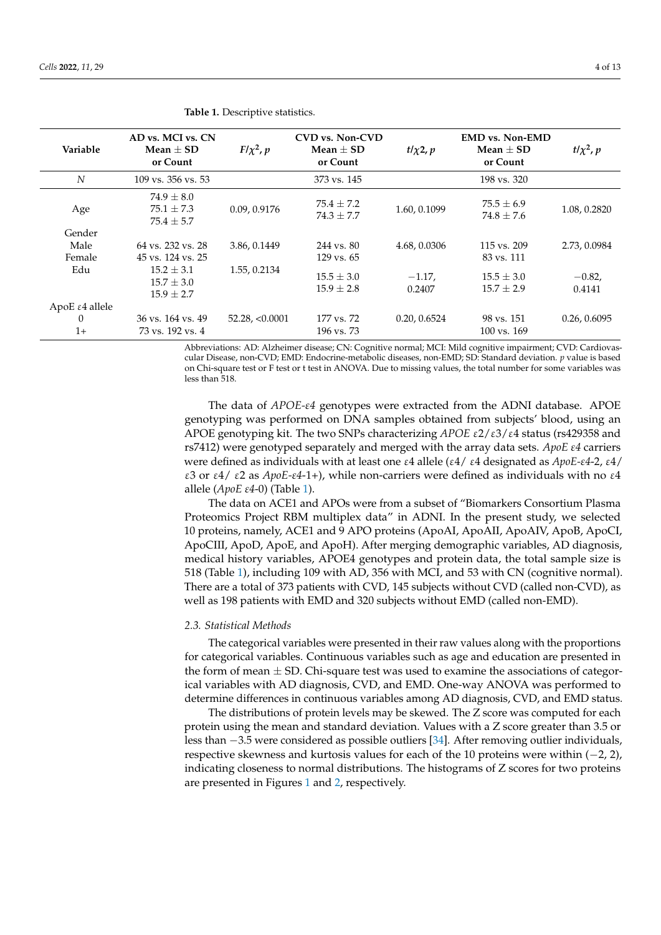| Variable       | AD vs. MCI vs. CN<br>Mean $+$ SD<br>or Count     | $F/\chi^2$ , p       | <b>CVD vs. Non-CVD</b><br>$Mean + SD$<br>or Count | $t/\chi$ 2, p     | <b>EMD</b> vs. Non-EMD<br>$Mean + SD$<br>or Count | $t/\chi^2$ , p     |
|----------------|--------------------------------------------------|----------------------|---------------------------------------------------|-------------------|---------------------------------------------------|--------------------|
| N              | $109$ vs. $356$ vs. $53$                         |                      | 373 vs. 145                                       |                   | 198 vs. 320                                       |                    |
| Age            | $74.9 \pm 8.0$<br>$75.1 \pm 7.3$<br>$75.4 + 5.7$ | 0.09, 0.9176         | $75.4 + 7.2$<br>$74.3 + 7.7$                      | 1.60, 0.1099      | $75.5 \pm 6.9$<br>$74.8 \pm 7.6$                  | 1.08, 0.2820       |
| Gender         |                                                  |                      |                                                   |                   |                                                   |                    |
| Male           | 64 vs. 232 vs. 28                                | 3.86, 0.1449         | 244 vs. 80                                        | 4.68, 0.0306      | $115$ vs. $209$                                   | 2.73, 0.0984       |
| Female         | 45 vs. 124 vs. 25                                |                      | $129$ vs. $65$                                    |                   | 83 vs. 111                                        |                    |
| Edu            | $15.2 + 3.1$<br>$15.7 \pm 3.0$<br>$15.9 + 2.7$   | 1.55, 0.2134         | $15.5 \pm 3.0$<br>$15.9 + 2.8$                    | $-1.17$<br>0.2407 | $15.5 \pm 3.0$<br>$15.7 + 2.9$                    | $-0.82,$<br>0.4141 |
| ApoE ε4 allele |                                                  |                      |                                                   |                   |                                                   |                    |
| $\theta$       | 36 vs. 164 vs. 49                                | $52.28$ , < $0.0001$ | 177 vs. 72                                        | 0.20, 0.6524      | 98 vs. 151                                        | 0.26, 0.6095       |
| $1+$           | 73 vs. 192 vs. 4                                 |                      | 196 vs. 73                                        |                   | 100 vs. 169                                       |                    |

<span id="page-3-0"></span>**Table 1.** Descriptive statistics.

Abbreviations: AD: Alzheimer disease; CN: Cognitive normal; MCI: Mild cognitive impairment; CVD: Cardiovascular Disease, non-CVD; EMD: Endocrine-metabolic diseases, non-EMD; SD: Standard deviation. *p* value is based on Chi-square test or F test or t test in ANOVA. Due to missing values, the total number for some variables was less than 518.

The data of *APOE-ε4* genotypes were extracted from the ADNI database. APOE genotyping was performed on DNA samples obtained from subjects' blood, using an APOE genotyping kit. The two SNPs characterizing *APOE* ε2/ε3/ε4 status (rs429358 and rs7412) were genotyped separately and merged with the array data sets. *ApoE ε4* carriers were defined as individuals with at least one ε4 allele (ε4/ ε4 designated as *ApoE-ε4*-2, ε4/ ε3 or ε4/ ε2 as *ApoE-ε4*-1+), while non-carriers were defined as individuals with no ε4 allele (*ApoE ε4*-0) (Table [1\)](#page-3-0).

The data on ACE1 and APOs were from a subset of "Biomarkers Consortium Plasma Proteomics Project RBM multiplex data" in ADNI. In the present study, we selected 10 proteins, namely, ACE1 and 9 APO proteins (ApoAI, ApoAII, ApoAIV, ApoB, ApoCI, ApoCIII, ApoD, ApoE, and ApoH). After merging demographic variables, AD diagnosis, medical history variables, APOE4 genotypes and protein data, the total sample size is 518 (Table [1\)](#page-3-0), including 109 with AD, 356 with MCI, and 53 with CN (cognitive normal). There are a total of 373 patients with CVD, 145 subjects without CVD (called non-CVD), as well as 198 patients with EMD and 320 subjects without EMD (called non-EMD).

### *2.3. Statistical Methods*

The categorical variables were presented in their raw values along with the proportions for categorical variables. Continuous variables such as age and education are presented in the form of mean  $\pm$  SD. Chi-square test was used to examine the associations of categorical variables with AD diagnosis, CVD, and EMD. One-way ANOVA was performed to determine differences in continuous variables among AD diagnosis, CVD, and EMD status.

The distributions of protein levels may be skewed. The Z score was computed for each protein using the mean and standard deviation. Values with a Z score greater than 3.5 or less than −3.5 were considered as possible outliers [\[34\]](#page-11-19). After removing outlier individuals, respective skewness and kurtosis values for each of the 10 proteins were within  $(-2, 2)$ , indicating closeness to normal distributions. The histograms of Z scores for two proteins are presented in Figures [1](#page-4-0) and [2,](#page-4-1) respectively.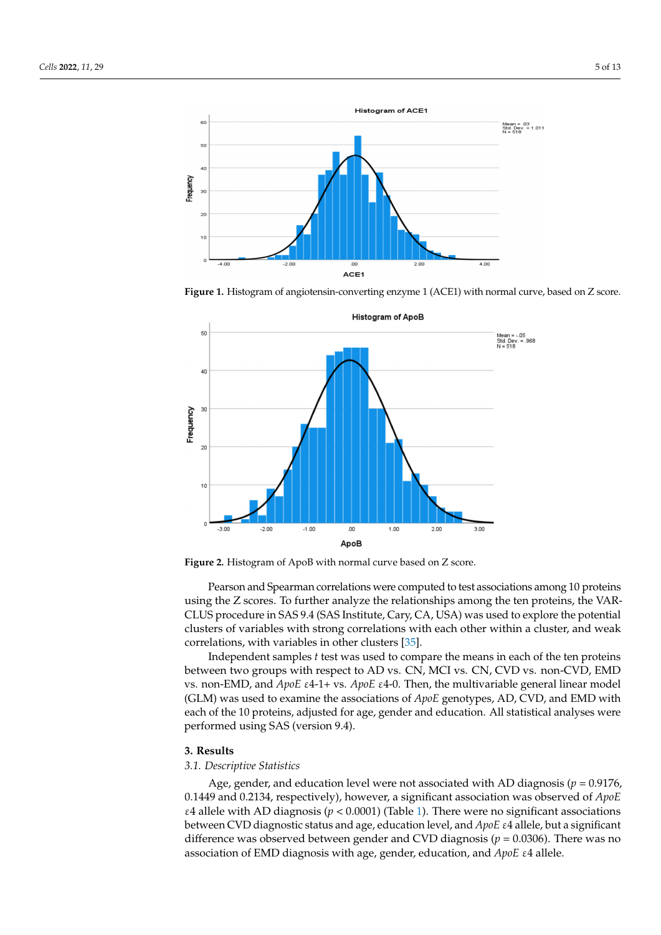<span id="page-4-0"></span>

**Figure 1.** Histogram of angiotensin-converting enzyme 1 (ACE1) with normal curve, based on Z score.

<span id="page-4-1"></span>

**Figure 2.** Histogram of ApoB with normal curve based on Z score.

Pearson and Spearman correlations were computed to test associations among 10 proteins using the Z scores. To further analyze the relationships among the ten proteins, the VAR-CLUS procedure in SAS 9.4 (SAS Institute, Cary, CA, USA) was used to explore the potential clusters of variables with strong correlations with each other within a cluster, and weak correlations, with variables in other clusters [\[35\]](#page-11-20).

Independent samples *t* test was used to compare the means in each of the ten proteins between two groups with respect to AD vs. CN, MCI vs. CN, CVD vs. non-CVD, EMD vs. non-EMD, and *ApoE* ε4-1+ vs. *ApoE* ε4-0. Then, the multivariable general linear model (GLM) was used to examine the associations of *ApoE* genotypes, AD, CVD, and EMD with each of the 10 proteins, adjusted for age, gender and education. All statistical analyses were performed using SAS (version 9.4).

## **3. Results**

#### *3.1. Descriptive Statistics*

Age, gender, and education level were not associated with AD diagnosis ( $p = 0.9176$ , 0.1449 and 0.2134, respectively), however, a significant association was observed of *ApoE*  $\varepsilon$ 4 allele with AD diagnosis ( $p < 0.0001$ ) (Table [1\)](#page-3-0). There were no significant associations between CVD diagnostic status and age, education level, and *ApoE* ε4 allele, but a significant difference was observed between gender and CVD diagnosis ( $p = 0.0306$ ). There was no association of EMD diagnosis with age, gender, education, and *ApoE* ε4 allele.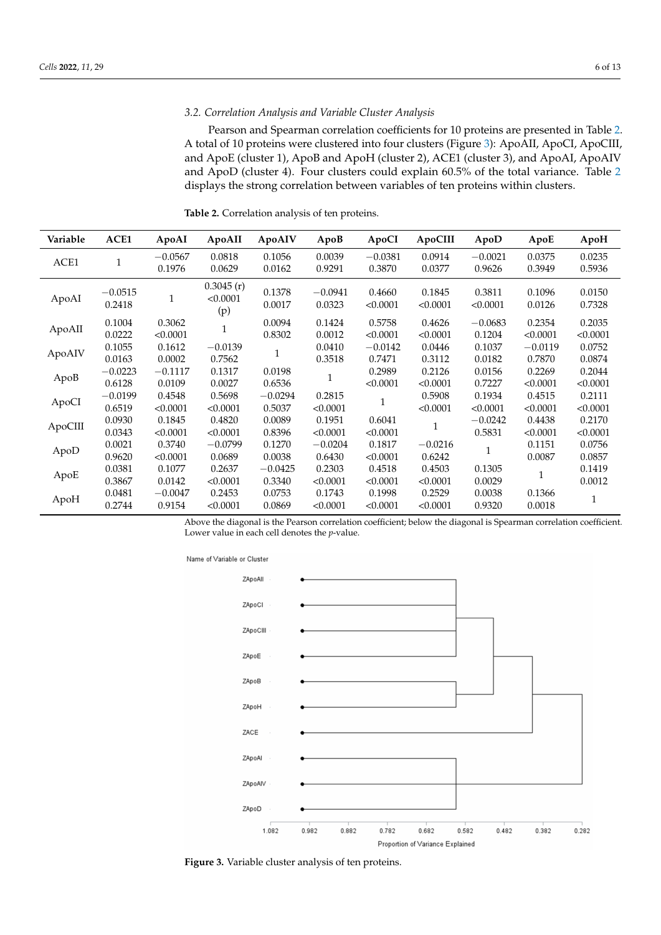## *3.2. Correlation Analysis and Variable Cluster Analysis*

Pearson and Spearman correlation coefficients for 10 proteins are presented in Table [2.](#page-5-0) A total of 10 proteins were clustered into four clusters (Figure [3\)](#page-5-1): ApoAII, ApoCI, ApoCIII, and ApoE (cluster 1), ApoB and ApoH (cluster 2), ACE1 (cluster 3), and ApoAI, ApoAIV and ApoD (cluster 4). Four clusters could explain 60.5% of the total variance. Table [2](#page-5-0) displays the strong correlation between variables of ten proteins within clusters.

| Variable | ACE1                | ApoAI     | ApoAII                       | ApoAIV           | ApoB                | ApoCI              | ApoCIII            | ApoD               | ApoE             | ApoH             |
|----------|---------------------|-----------|------------------------------|------------------|---------------------|--------------------|--------------------|--------------------|------------------|------------------|
| ACE1     | $\mathbf{1}$        | $-0.0567$ | 0.0818                       | 0.1056           | 0.0039              | $-0.0381$          | 0.0914             | $-0.0021$          | 0.0375           | 0.0235           |
|          |                     | 0.1976    | 0.0629                       | 0.0162           | 0.9291              | 0.3870             | 0.0377             | 0.9626             | 0.3949           | 0.5936           |
| ApoAI    | $-0.0515$<br>0.2418 |           | 0.3045(r)<br>< 0.0001<br>(p) | 0.1378<br>0.0017 | $-0.0941$<br>0.0323 | 0.4660<br>< 0.0001 | 0.1845<br>< 0.0001 | 0.3811<br>< 0.0001 | 0.1096<br>0.0126 | 0.0150<br>0.7328 |
| ApoAII   | 0.1004              | 0.3062    | $\mathbf{1}$                 | 0.0094           | 0.1424              | 0.5758             | 0.4626             | $-0.0683$          | 0.2354           | 0.2035           |
|          | 0.0222              | < 0.0001  |                              | 0.8302           | 0.0012              | < 0.0001           | < 0.0001           | 0.1204             | < 0.0001         | < 0.0001         |
| ApoAIV   | 0.1055              | 0.1612    | $-0.0139$                    | 1                | 0.0410              | $-0.0142$          | 0.0446             | 0.1037             | $-0.0119$        | 0.0752           |
|          | 0.0163              | 0.0002    | 0.7562                       |                  | 0.3518              | 0.7471             | 0.3112             | 0.0182             | 0.7870           | 0.0874           |
| ApoB     | $-0.0223$           | $-0.1117$ | 0.1317                       | 0.0198<br>0.6536 |                     | 0.2989             | 0.2126             | 0.0156             | 0.2269           | 0.2044           |
|          | 0.6128              | 0.0109    | 0.0027                       |                  |                     | < 0.0001           | < 0.0001           | 0.7227             | < 0.0001         | < 0.0001         |
|          | $-0.0199$           | 0.4548    | 0.5698                       | $-0.0294$        | 0.2815              | 1                  | 0.5908             | 0.1934             | 0.4515           | 0.2111           |
| ApoCI    | 0.6519              | < 0.0001  | < 0.0001                     | 0.5037           | < 0.0001            |                    | < 0.0001           | < 0.0001           | < 0.0001         | < 0.0001         |
| ApoCIII  | 0.0930              | 0.1845    | 0.4820                       | 0.0089           | 0.1951              | 0.6041             |                    | $-0.0242$          | 0.4438           | 0.2170           |
|          | 0.0343              | < 0.0001  | < 0.0001                     | 0.8396           | < 0.0001            | < 0.0001           |                    | 0.5831             | < 0.0001         | < 0.0001         |
| ApoD     | 0.0021              | 0.3740    | $-0.0799$                    | 0.1270           | $-0.0204$           | 0.1817             | $-0.0216$          | $\mathbf{1}$       | 0.1151           | 0.0756           |
|          | 0.9620              | < 0.0001  | 0.0689                       | 0.0038           | 0.6430              | < 0.0001           | 0.6242             |                    | 0.0087           | 0.0857           |
| ApoE     | 0.0381              | 0.1077    | 0.2637                       | $-0.0425$        | 0.2303              | 0.4518             | 0.4503             | 0.1305             | 1                | 0.1419           |
|          | 0.3867              | 0.0142    | < 0.0001                     | 0.3340           | < 0.0001            | < 0.0001           | < 0.0001           | 0.0029             |                  | 0.0012           |
| ApoH     | 0.0481              | $-0.0047$ | 0.2453                       | 0.0753           | 0.1743              | 0.1998             | 0.2529             | 0.0038             | 0.1366           |                  |
|          | 0.2744              | 0.9154    | < 0.0001                     | 0.0869           | < 0.0001            | < 0.0001           | < 0.0001           | 0.9320             | 0.0018           | 1                |

<span id="page-5-0"></span>**Table 2.** Correlation analysis of ten proteins.

Above the diagonal is the Pearson correlation coefficient; below the diagonal is Spearman correlation coefficient. Lower value in each cell denotes the *p*-value.



<span id="page-5-1"></span>Name of Variable or Cluster

**Figure 3.** Variable cluster analysis of ten proteins.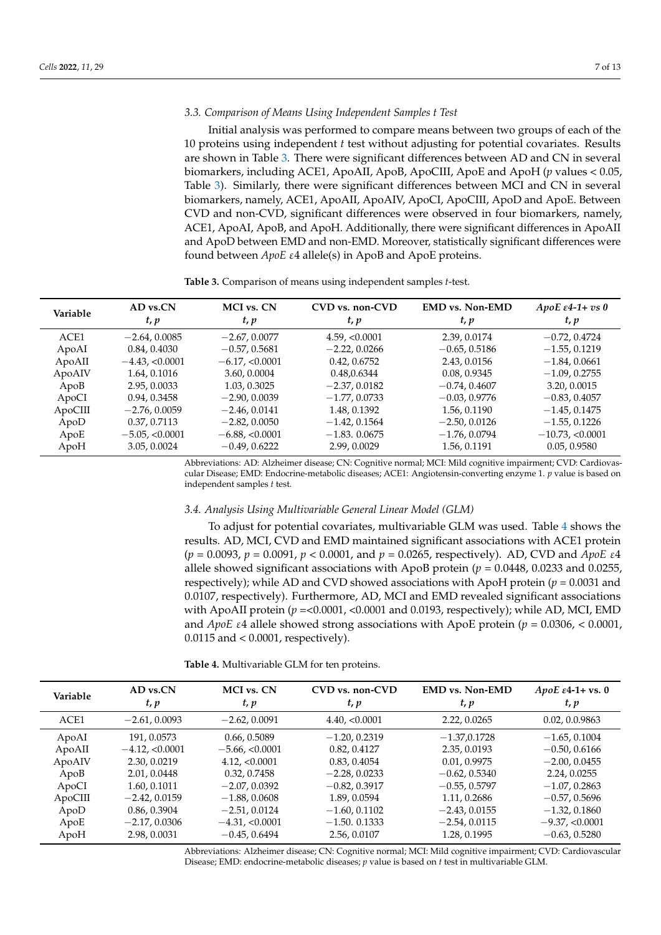## *3.3. Comparison of Means Using Independent Samples t Test*

Initial analysis was performed to compare means between two groups of each of the 10 proteins using independent *t* test without adjusting for potential covariates. Results are shown in Table [3.](#page-6-0) There were significant differences between AD and CN in several biomarkers, including ACE1, ApoAII, ApoB, ApoCIII, ApoE and ApoH (*p* values < 0.05, Table [3\)](#page-6-0). Similarly, there were significant differences between MCI and CN in several biomarkers, namely, ACE1, ApoAII, ApoAIV, ApoCI, ApoCIII, ApoD and ApoE. Between CVD and non-CVD, significant differences were observed in four biomarkers, namely, ACE1, ApoAI, ApoB, and ApoH. Additionally, there were significant differences in ApoAII and ApoD between EMD and non-EMD. Moreover, statistically significant differences were found between *ApoE* ε4 allele(s) in ApoB and ApoE proteins.

<span id="page-6-0"></span>**Table 3.** Comparison of means using independent samples *t*-test.

| Variable | AD vs.CN<br>t, p  | <b>MCI</b> vs. CN<br>t, p | CVD vs. non-CVD<br>t, p | <b>EMD</b> vs. Non-EMD<br>t, p | ApoE $\varepsilon$ 4-1+ vs 0<br>t, p |  |
|----------|-------------------|---------------------------|-------------------------|--------------------------------|--------------------------------------|--|
|          |                   |                           |                         |                                |                                      |  |
| ACE1     | $-2.64, 0.0085$   | $-2.67, 0.0077$           | 4.59, < 0.0001          | 2.39, 0.0174                   | $-0.72, 0.4724$                      |  |
| ApoAI    | 0.84, 0.4030      | $-0.57, 0.5681$           | $-2.22, 0.0266$         | $-0.65, 0.5186$                | $-1.55, 0.1219$                      |  |
| ApoAII   | $-4.43, < 0.0001$ | $-6.17, < 0.0001$         | 0.42, 0.6752            | 2.43, 0.0156                   | $-1.84, 0.0661$                      |  |
| ApoAIV   | 1.64, 0.1016      | 3.60, 0.0004              | 0.48,0.6344             | 0.08, 0.9345                   | $-1.09, 0.2755$                      |  |
| ApoB     | 2.95, 0.0033      | 1.03, 0.3025              | $-2.37, 0.0182$         | $-0.74, 0.4607$                | 3.20, 0.0015                         |  |
| ApoCI    | 0.94, 0.3458      | $-2.90, 0.0039$           | $-1.77, 0.0733$         | $-0.03, 0.9776$                | $-0.83, 0.4057$                      |  |
| ApoCIII  | $-2.76, 0.0059$   | $-2.46, 0.0141$           | 1.48, 0.1392            | 1.56, 0.1190                   | $-1.45, 0.1475$                      |  |
| ApoD     | 0.37, 0.7113      | $-2.82, 0.0050$           | $-1.42, 0.1564$         | $-2.50, 0.0126$                | $-1.55, 0.1226$                      |  |
| ApoE     | $-5.05, <0.0001$  | $-6.88, <0.0001$          | $-1.83, 0.0675$         | $-1.76, 0.0794$                | $-10.73$ , < $0.0001$                |  |
| ApoH     | 3.05, 0.0024      | $-0.49, 0.6222$           | 2.99, 0.0029            | 1.56, 0.1191                   | 0.05, 0.9580                         |  |

Abbreviations: AD: Alzheimer disease; CN: Cognitive normal; MCI: Mild cognitive impairment; CVD: Cardiovascular Disease; EMD: Endocrine-metabolic diseases; ACE1: Angiotensin-converting enzyme 1. *p* value is based on independent samples *t* test.

#### *3.4. Analysis Using Multivariable General Linear Model (GLM)*

To adjust for potential covariates, multivariable GLM was used. Table [4](#page-6-1) shows the results. AD, MCI, CVD and EMD maintained significant associations with ACE1 protein (*p* = 0.0093, *p* = 0.0091, *p* < 0.0001, and *p* = 0.0265, respectively). AD, CVD and *ApoE* ε4 allele showed significant associations with ApoB protein ( $p = 0.0448$ , 0.0233 and 0.0255, respectively); while AD and CVD showed associations with ApoH protein  $(p = 0.0031$  and 0.0107, respectively). Furthermore, AD, MCI and EMD revealed significant associations with ApoAII protein ( $p = 0.0001$ , <0.0001 and 0.0193, respectively); while AD, MCI, EMD and *ApoE* ε4 allele showed strong associations with ApoE protein (*p* = 0.0306, < 0.0001, 0.0115 and < 0.0001, respectively).

<span id="page-6-1"></span>

|  |  |  |  |  |  |  |  | <b>Table 4.</b> Multivariable GLM for ten proteins. |
|--|--|--|--|--|--|--|--|-----------------------------------------------------|
|--|--|--|--|--|--|--|--|-----------------------------------------------------|

| Variable | AD vs.CN          | <b>MCI</b> vs. CN | CVD vs. non-CVD | <b>EMD</b> vs. Non-EMD | ApoE $\varepsilon$ 4-1+ vs. 0 |
|----------|-------------------|-------------------|-----------------|------------------------|-------------------------------|
|          | t, p              | t, p              | t, p            | t, p                   | t, p                          |
| ACE1     | $-2.61, 0.0093$   | $-2.62, 0.0091$   | 4.40, < 0.0001  | 2.22, 0.0265           | 0.02, 0.0.9863                |
| ApoAI    | 191, 0.0573       | 0.66, 0.5089      | $-1.20, 0.2319$ | $-1.37,0.1728$         | $-1.65, 0.1004$               |
| ApoAII   | $-4.12, < 0.0001$ | $-5.66, <0.0001$  | 0.82, 0.4127    | 2.35, 0.0193           | $-0.50, 0.6166$               |
| ApoAIV   | 2.30, 0.0219      | 4.12, < 0.0001    | 0.83, 0.4054    | 0.01, 0.9975           | $-2.00, 0.0455$               |
| ApoB     | 2.01, 0.0448      | 0.32, 0.7458      | $-2.28, 0.0233$ | $-0.62, 0.5340$        | 2.24, 0.0255                  |
| ApoCI    | 1.60, 0.1011      | $-2.07, 0.0392$   | $-0.82, 0.3917$ | $-0.55, 0.5797$        | $-1.07, 0.2863$               |
| ApoCIII  | $-2.42, 0.0159$   | $-1.88, 0.0608$   | 1.89, 0.0594    | 1.11, 0.2686           | $-0.57, 0.5696$               |
| ApoD     | 0.86, 0.3904      | $-2.51, 0.0124$   | $-1.60, 0.1102$ | $-2.43, 0.0155$        | $-1.32, 0.1860$               |
| ApoE     | $-2.17, 0.0306$   | $-4.31, < 0.0001$ | $-1.50.$ 0.1333 | $-2.54, 0.0115$        | $-9.37, < 0.0001$             |
| ApoH     | 2.98, 0.0031      | $-0.45, 0.6494$   | 2.56, 0.0107    | 1.28, 0.1995           | $-0.63, 0.5280$               |

Abbreviations: Alzheimer disease; CN: Cognitive normal; MCI: Mild cognitive impairment; CVD: Cardiovascular Disease; EMD: endocrine-metabolic diseases; *p* value is based on *t* test in multivariable GLM.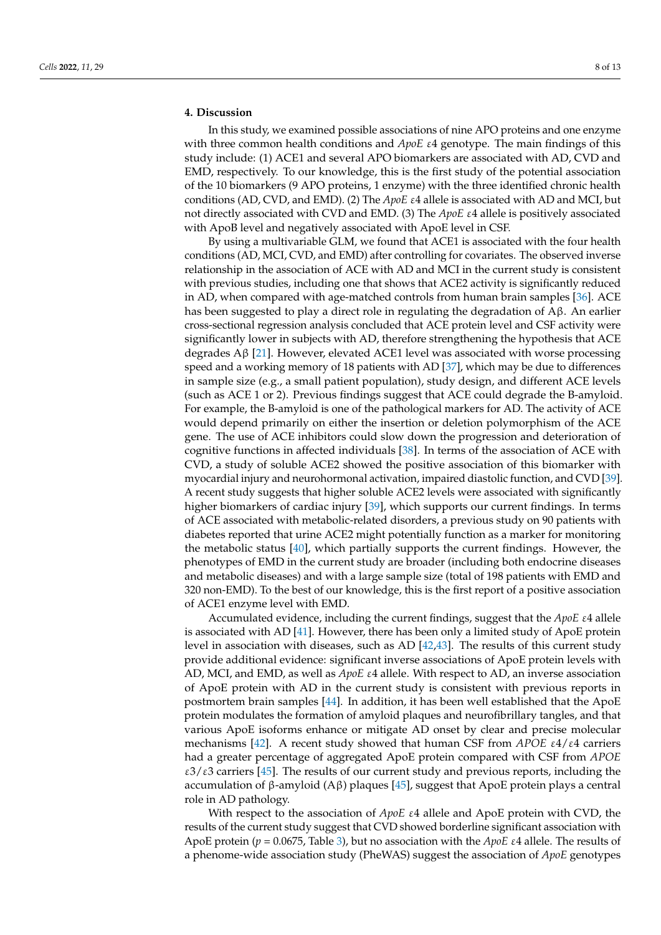## **4. Discussion**

In this study, we examined possible associations of nine APO proteins and one enzyme with three common health conditions and *ApoE* ε4 genotype. The main findings of this study include: (1) ACE1 and several APO biomarkers are associated with AD, CVD and EMD, respectively. To our knowledge, this is the first study of the potential association of the 10 biomarkers (9 APO proteins, 1 enzyme) with the three identified chronic health conditions (AD, CVD, and EMD). (2) The *ApoE* ε4 allele is associated with AD and MCI, but not directly associated with CVD and EMD. (3) The *ApoE* ε4 allele is positively associated with ApoB level and negatively associated with ApoE level in CSF.

By using a multivariable GLM, we found that ACE1 is associated with the four health conditions (AD, MCI, CVD, and EMD) after controlling for covariates. The observed inverse relationship in the association of ACE with AD and MCI in the current study is consistent with previous studies, including one that shows that ACE2 activity is significantly reduced in AD, when compared with age-matched controls from human brain samples [\[36\]](#page-11-21). ACE has been suggested to play a direct role in regulating the degradation of Aβ. An earlier cross-sectional regression analysis concluded that ACE protein level and CSF activity were significantly lower in subjects with AD, therefore strengthening the hypothesis that ACE degrades  $\text{A}\beta$  [\[21\]](#page-11-6). However, elevated ACE1 level was associated with worse processing speed and a working memory of 18 patients with AD [\[37\]](#page-11-22), which may be due to differences in sample size (e.g., a small patient population), study design, and different ACE levels (such as ACE 1 or 2). Previous findings suggest that ACE could degrade the B-amyloid. For example, the B-amyloid is one of the pathological markers for AD. The activity of ACE would depend primarily on either the insertion or deletion polymorphism of the ACE gene. The use of ACE inhibitors could slow down the progression and deterioration of cognitive functions in affected individuals [\[38\]](#page-11-23). In terms of the association of ACE with CVD, a study of soluble ACE2 showed the positive association of this biomarker with myocardial injury and neurohormonal activation, impaired diastolic function, and CVD [\[39\]](#page-11-24). A recent study suggests that higher soluble ACE2 levels were associated with significantly higher biomarkers of cardiac injury [\[39\]](#page-11-24), which supports our current findings. In terms of ACE associated with metabolic-related disorders, a previous study on 90 patients with diabetes reported that urine ACE2 might potentially function as a marker for monitoring the metabolic status [\[40\]](#page-11-25), which partially supports the current findings. However, the phenotypes of EMD in the current study are broader (including both endocrine diseases and metabolic diseases) and with a large sample size (total of 198 patients with EMD and 320 non-EMD). To the best of our knowledge, this is the first report of a positive association of ACE1 enzyme level with EMD.

Accumulated evidence, including the current findings, suggest that the *ApoE* ε4 allele is associated with AD  $[41]$ . However, there has been only a limited study of ApoE protein level in association with diseases, such as AD [\[42,](#page-12-1)[43\]](#page-12-2). The results of this current study provide additional evidence: significant inverse associations of ApoE protein levels with AD, MCI, and EMD, as well as *ApoE* ε4 allele. With respect to AD, an inverse association of ApoE protein with AD in the current study is consistent with previous reports in postmortem brain samples [\[44\]](#page-12-3). In addition, it has been well established that the ApoE protein modulates the formation of amyloid plaques and neurofibrillary tangles, and that various ApoE isoforms enhance or mitigate AD onset by clear and precise molecular mechanisms [\[42\]](#page-12-1). A recent study showed that human CSF from *APOE* ε4/ε4 carriers had a greater percentage of aggregated ApoE protein compared with CSF from *APOE*  $\epsilon$ 3/ $\epsilon$ 3 carriers [\[45\]](#page-12-4). The results of our current study and previous reports, including the accumulation of β-amyloid (Aβ) plaques [\[45\]](#page-12-4), suggest that ApoE protein plays a central role in AD pathology.

With respect to the association of *ApoE* ε4 allele and ApoE protein with CVD, the results of the current study suggest that CVD showed borderline significant association with ApoE protein (*p* = 0.0675, Table [3\)](#page-6-0), but no association with the *ApoE* ε4 allele. The results of a phenome-wide association study (PheWAS) suggest the association of *ApoE* genotypes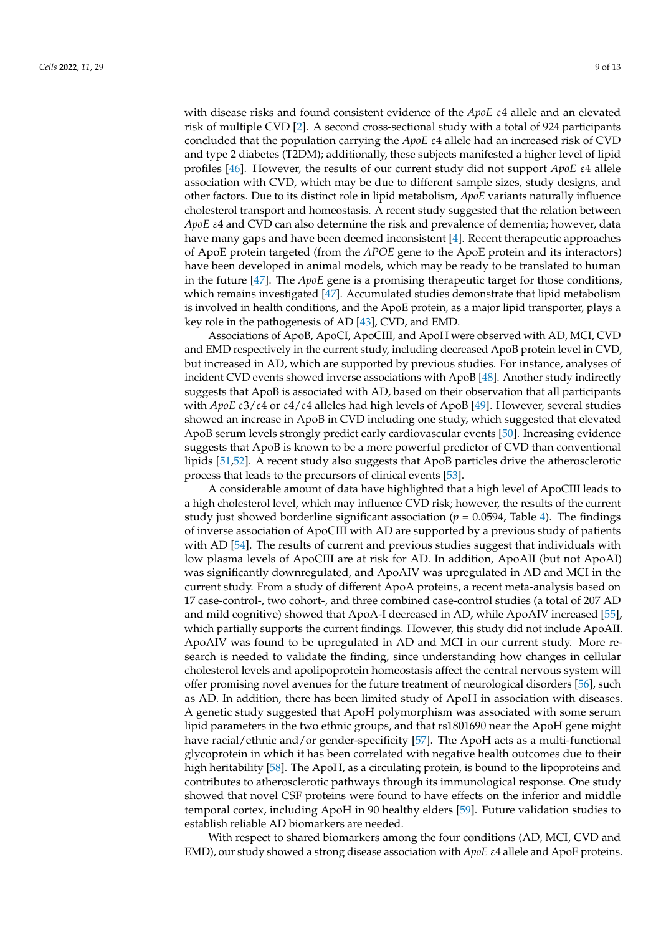with disease risks and found consistent evidence of the *ApoE* ε4 allele and an elevated risk of multiple CVD [\[2\]](#page-10-1). A second cross-sectional study with a total of 924 participants concluded that the population carrying the *ApoE* ε4 allele had an increased risk of CVD and type 2 diabetes (T2DM); additionally, these subjects manifested a higher level of lipid profiles [\[46\]](#page-12-5). However, the results of our current study did not support *ApoE* ε4 allele association with CVD, which may be due to different sample sizes, study designs, and other factors. Due to its distinct role in lipid metabolism, *ApoE* variants naturally influence cholesterol transport and homeostasis. A recent study suggested that the relation between *ApoE* ε4 and CVD can also determine the risk and prevalence of dementia; however, data have many gaps and have been deemed inconsistent [\[4\]](#page-10-3). Recent therapeutic approaches of ApoE protein targeted (from the *APOE* gene to the ApoE protein and its interactors) have been developed in animal models, which may be ready to be translated to human in the future [\[47\]](#page-12-6). The *ApoE* gene is a promising therapeutic target for those conditions, which remains investigated [\[47\]](#page-12-6). Accumulated studies demonstrate that lipid metabolism is involved in health conditions, and the ApoE protein, as a major lipid transporter, plays a key role in the pathogenesis of AD [\[43\]](#page-12-2), CVD, and EMD.

Associations of ApoB, ApoCI, ApoCIII, and ApoH were observed with AD, MCI, CVD and EMD respectively in the current study, including decreased ApoB protein level in CVD, but increased in AD, which are supported by previous studies. For instance, analyses of incident CVD events showed inverse associations with ApoB [\[48\]](#page-12-7). Another study indirectly suggests that ApoB is associated with AD, based on their observation that all participants with *ApoE* ε3/ε4 or ε4/ε4 alleles had high levels of ApoB [\[49\]](#page-12-8). However, several studies showed an increase in ApoB in CVD including one study, which suggested that elevated ApoB serum levels strongly predict early cardiovascular events [\[50\]](#page-12-9). Increasing evidence suggests that ApoB is known to be a more powerful predictor of CVD than conventional lipids [\[51](#page-12-10)[,52\]](#page-12-11). A recent study also suggests that ApoB particles drive the atherosclerotic process that leads to the precursors of clinical events [\[53\]](#page-12-12).

A considerable amount of data have highlighted that a high level of ApoCIII leads to a high cholesterol level, which may influence CVD risk; however, the results of the current study just showed borderline significant association ( $p = 0.0594$ , Table [4\)](#page-6-1). The findings of inverse association of ApoCIII with AD are supported by a previous study of patients with AD [\[54\]](#page-12-13). The results of current and previous studies suggest that individuals with low plasma levels of ApoCIII are at risk for AD. In addition, ApoAII (but not ApoAI) was significantly downregulated, and ApoAIV was upregulated in AD and MCI in the current study. From a study of different ApoA proteins, a recent meta-analysis based on 17 case-control-, two cohort-, and three combined case-control studies (a total of 207 AD and mild cognitive) showed that ApoA-I decreased in AD, while ApoAIV increased [\[55\]](#page-12-14), which partially supports the current findings. However, this study did not include ApoAII. ApoAIV was found to be upregulated in AD and MCI in our current study. More research is needed to validate the finding, since understanding how changes in cellular cholesterol levels and apolipoprotein homeostasis affect the central nervous system will offer promising novel avenues for the future treatment of neurological disorders [\[56\]](#page-12-15), such as AD. In addition, there has been limited study of ApoH in association with diseases. A genetic study suggested that ApoH polymorphism was associated with some serum lipid parameters in the two ethnic groups, and that rs1801690 near the ApoH gene might have racial/ethnic and/or gender-specificity [\[57\]](#page-12-16). The ApoH acts as a multi-functional glycoprotein in which it has been correlated with negative health outcomes due to their high heritability [\[58\]](#page-12-17). The ApoH, as a circulating protein, is bound to the lipoproteins and contributes to atherosclerotic pathways through its immunological response. One study showed that novel CSF proteins were found to have effects on the inferior and middle temporal cortex, including ApoH in 90 healthy elders [\[59\]](#page-12-18). Future validation studies to establish reliable AD biomarkers are needed.

With respect to shared biomarkers among the four conditions (AD, MCI, CVD and EMD), our study showed a strong disease association with *ApoE* ε4 allele and ApoE proteins.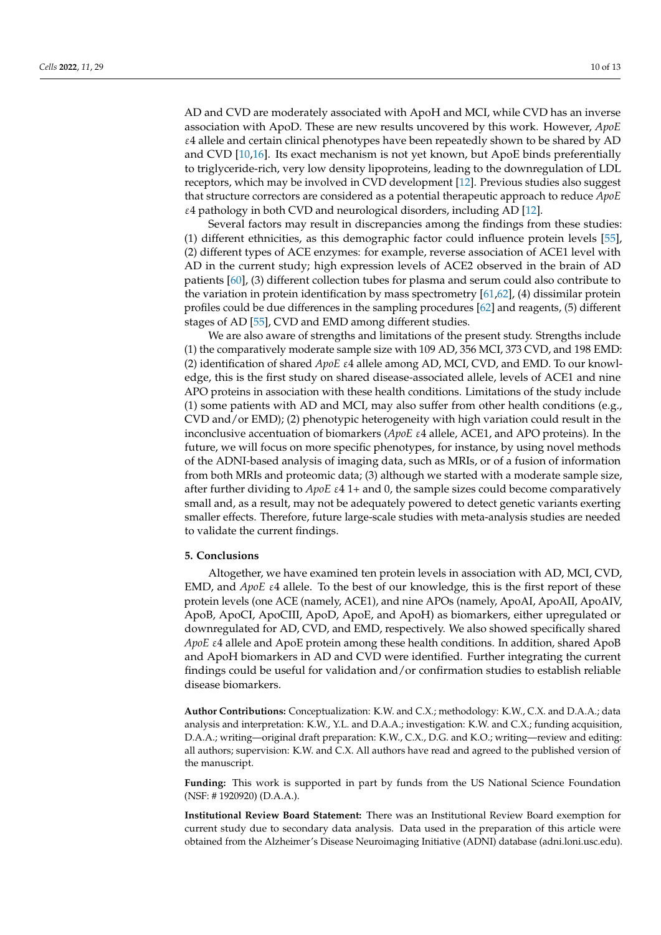AD and CVD are moderately associated with ApoH and MCI, while CVD has an inverse association with ApoD. These are new results uncovered by this work. However, *ApoE* ε4 allele and certain clinical phenotypes have been repeatedly shown to be shared by AD and CVD [\[10](#page-10-9)[,16\]](#page-11-1). Its exact mechanism is not yet known, but ApoE binds preferentially to triglyceride-rich, very low density lipoproteins, leading to the downregulation of LDL receptors, which may be involved in CVD development [\[12\]](#page-10-11). Previous studies also suggest that structure correctors are considered as a potential therapeutic approach to reduce *ApoE* ε4 pathology in both CVD and neurological disorders, including AD [\[12\]](#page-10-11).

Several factors may result in discrepancies among the findings from these studies: (1) different ethnicities, as this demographic factor could influence protein levels [\[55\]](#page-12-14), (2) different types of ACE enzymes: for example, reverse association of ACE1 level with AD in the current study; high expression levels of ACE2 observed in the brain of AD patients [\[60\]](#page-12-19), (3) different collection tubes for plasma and serum could also contribute to the variation in protein identification by mass spectrometry [\[61,](#page-12-20)[62\]](#page-12-21), (4) dissimilar protein profiles could be due differences in the sampling procedures [\[62\]](#page-12-21) and reagents, (5) different stages of AD [\[55\]](#page-12-14), CVD and EMD among different studies.

We are also aware of strengths and limitations of the present study. Strengths include (1) the comparatively moderate sample size with 109 AD, 356 MCI, 373 CVD, and 198 EMD: (2) identification of shared *ApoE* ε4 allele among AD, MCI, CVD, and EMD. To our knowledge, this is the first study on shared disease-associated allele, levels of ACE1 and nine APO proteins in association with these health conditions. Limitations of the study include (1) some patients with AD and MCI, may also suffer from other health conditions (e.g., CVD and/or EMD); (2) phenotypic heterogeneity with high variation could result in the inconclusive accentuation of biomarkers (*ApoE* ε4 allele, ACE1, and APO proteins). In the future, we will focus on more specific phenotypes, for instance, by using novel methods of the ADNI-based analysis of imaging data, such as MRIs, or of a fusion of information from both MRIs and proteomic data; (3) although we started with a moderate sample size, after further dividing to *ApoE* ε4 1+ and 0, the sample sizes could become comparatively small and, as a result, may not be adequately powered to detect genetic variants exerting smaller effects. Therefore, future large-scale studies with meta-analysis studies are needed to validate the current findings.

## **5. Conclusions**

Altogether, we have examined ten protein levels in association with AD, MCI, CVD, EMD, and *ApoE* ε4 allele. To the best of our knowledge, this is the first report of these protein levels (one ACE (namely, ACE1), and nine APOs (namely, ApoAI, ApoAII, ApoAIV, ApoB, ApoCI, ApoCIII, ApoD, ApoE, and ApoH) as biomarkers, either upregulated or downregulated for AD, CVD, and EMD, respectively. We also showed specifically shared *ApoE* ε4 allele and ApoE protein among these health conditions. In addition, shared ApoB and ApoH biomarkers in AD and CVD were identified. Further integrating the current findings could be useful for validation and/or confirmation studies to establish reliable disease biomarkers.

**Author Contributions:** Conceptualization: K.W. and C.X.; methodology: K.W., C.X. and D.A.A.; data analysis and interpretation: K.W., Y.L. and D.A.A.; investigation: K.W. and C.X.; funding acquisition, D.A.A.; writing—original draft preparation: K.W., C.X., D.G. and K.O.; writing—review and editing: all authors; supervision: K.W. and C.X. All authors have read and agreed to the published version of the manuscript.

**Funding:** This work is supported in part by funds from the US National Science Foundation (NSF: # 1920920) (D.A.A.).

**Institutional Review Board Statement:** There was an Institutional Review Board exemption for current study due to secondary data analysis. Data used in the preparation of this article were obtained from the Alzheimer's Disease Neuroimaging Initiative (ADNI) database (adni.loni.usc.edu).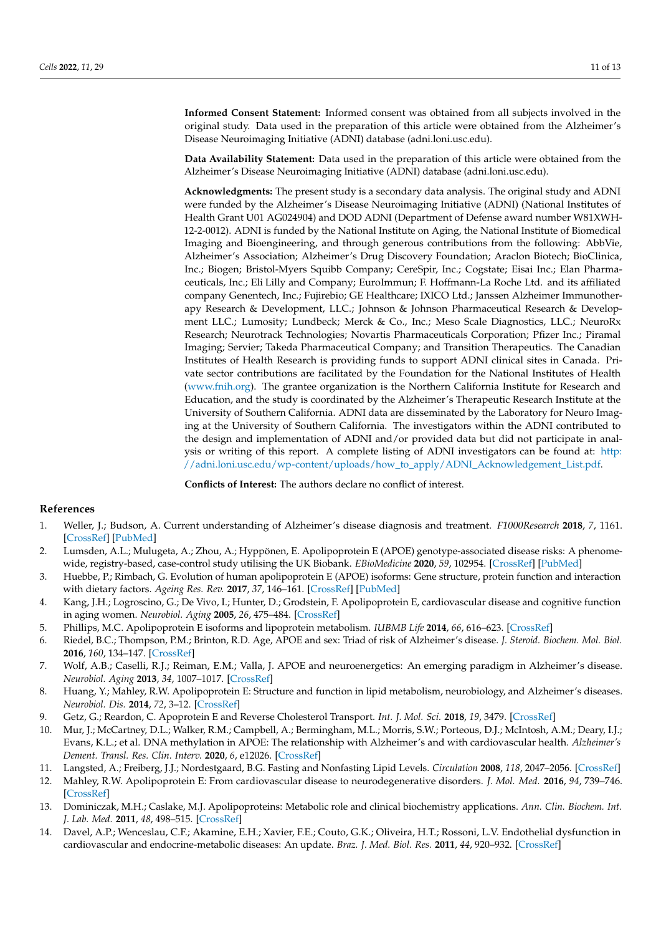**Informed Consent Statement:** Informed consent was obtained from all subjects involved in the original study. Data used in the preparation of this article were obtained from the Alzheimer's Disease Neuroimaging Initiative (ADNI) database (adni.loni.usc.edu).

**Data Availability Statement:** Data used in the preparation of this article were obtained from the Alzheimer's Disease Neuroimaging Initiative (ADNI) database (adni.loni.usc.edu).

**Acknowledgments:** The present study is a secondary data analysis. The original study and ADNI were funded by the Alzheimer's Disease Neuroimaging Initiative (ADNI) (National Institutes of Health Grant U01 AG024904) and DOD ADNI (Department of Defense award number W81XWH-12-2-0012). ADNI is funded by the National Institute on Aging, the National Institute of Biomedical Imaging and Bioengineering, and through generous contributions from the following: AbbVie, Alzheimer's Association; Alzheimer's Drug Discovery Foundation; Araclon Biotech; BioClinica, Inc.; Biogen; Bristol-Myers Squibb Company; CereSpir, Inc.; Cogstate; Eisai Inc.; Elan Pharmaceuticals, Inc.; Eli Lilly and Company; EuroImmun; F. Hoffmann-La Roche Ltd. and its affiliated company Genentech, Inc.; Fujirebio; GE Healthcare; IXICO Ltd.; Janssen Alzheimer Immunotherapy Research & Development, LLC.; Johnson & Johnson Pharmaceutical Research & Development LLC.; Lumosity; Lundbeck; Merck & Co., Inc.; Meso Scale Diagnostics, LLC.; NeuroRx Research; Neurotrack Technologies; Novartis Pharmaceuticals Corporation; Pfizer Inc.; Piramal Imaging; Servier; Takeda Pharmaceutical Company; and Transition Therapeutics. The Canadian Institutes of Health Research is providing funds to support ADNI clinical sites in Canada. Private sector contributions are facilitated by the Foundation for the National Institutes of Health [\(www.fnih.org\)](www.fnih.org). The grantee organization is the Northern California Institute for Research and Education, and the study is coordinated by the Alzheimer's Therapeutic Research Institute at the University of Southern California. ADNI data are disseminated by the Laboratory for Neuro Imaging at the University of Southern California. The investigators within the ADNI contributed to the design and implementation of ADNI and/or provided data but did not participate in analysis or writing of this report. A complete listing of ADNI investigators can be found at: [http:](http://adni.loni.usc.edu/wp-content/uploads/how_to_apply/ADNI_Acknowledgement_List.pdf) [//adni.loni.usc.edu/wp-content/uploads/how\\_to\\_apply/ADNI\\_Acknowledgement\\_List.pdf.](http://adni.loni.usc.edu/wp-content/uploads/how_to_apply/ADNI_Acknowledgement_List.pdf)

**Conflicts of Interest:** The authors declare no conflict of interest.

## **References**

- <span id="page-10-0"></span>1. Weller, J.; Budson, A. Current understanding of Alzheimer's disease diagnosis and treatment. *F1000Research* **2018**, *7*, 1161. [\[CrossRef\]](http://doi.org/10.12688/f1000research.14506.1) [\[PubMed\]](http://www.ncbi.nlm.nih.gov/pubmed/30135715)
- <span id="page-10-1"></span>2. Lumsden, A.L.; Mulugeta, A.; Zhou, A.; Hyppönen, E. Apolipoprotein E (APOE) genotype-associated disease risks: A phenomewide, registry-based, case-control study utilising the UK Biobank. *EBioMedicine* **2020**, *59*, 102954. [\[CrossRef\]](http://doi.org/10.1016/j.ebiom.2020.102954) [\[PubMed\]](http://www.ncbi.nlm.nih.gov/pubmed/32818802)
- <span id="page-10-2"></span>3. Huebbe, P.; Rimbach, G. Evolution of human apolipoprotein E (APOE) isoforms: Gene structure, protein function and interaction with dietary factors. *Ageing Res. Rev.* **2017**, *37*, 146–161. [\[CrossRef\]](http://doi.org/10.1016/j.arr.2017.06.002) [\[PubMed\]](http://www.ncbi.nlm.nih.gov/pubmed/28647612)
- <span id="page-10-3"></span>4. Kang, J.H.; Logroscino, G.; De Vivo, I.; Hunter, D.; Grodstein, F. Apolipoprotein E, cardiovascular disease and cognitive function in aging women. *Neurobiol. Aging* **2005**, *26*, 475–484. [\[CrossRef\]](http://doi.org/10.1016/j.neurobiolaging.2004.05.003)
- <span id="page-10-4"></span>5. Phillips, M.C. Apolipoprotein E isoforms and lipoprotein metabolism. *IUBMB Life* **2014**, *66*, 616–623. [\[CrossRef\]](http://doi.org/10.1002/iub.1314)
- <span id="page-10-5"></span>6. Riedel, B.C.; Thompson, P.M.; Brinton, R.D. Age, APOE and sex: Triad of risk of Alzheimer's disease. *J. Steroid. Biochem. Mol. Biol.* **2016**, *160*, 134–147. [\[CrossRef\]](http://doi.org/10.1016/j.jsbmb.2016.03.012)
- <span id="page-10-6"></span>7. Wolf, A.B.; Caselli, R.J.; Reiman, E.M.; Valla, J. APOE and neuroenergetics: An emerging paradigm in Alzheimer's disease. *Neurobiol. Aging* **2013**, *34*, 1007–1017. [\[CrossRef\]](http://doi.org/10.1016/j.neurobiolaging.2012.10.011)
- <span id="page-10-7"></span>8. Huang, Y.; Mahley, R.W. Apolipoprotein E: Structure and function in lipid metabolism, neurobiology, and Alzheimer's diseases. *Neurobiol. Dis.* **2014**, *72*, 3–12. [\[CrossRef\]](http://doi.org/10.1016/j.nbd.2014.08.025)
- <span id="page-10-8"></span>9. Getz, G.; Reardon, C. Apoprotein E and Reverse Cholesterol Transport. *Int. J. Mol. Sci.* **2018**, *19*, 3479. [\[CrossRef\]](http://doi.org/10.3390/ijms19113479)
- <span id="page-10-9"></span>10. Mur, J.; McCartney, D.L.; Walker, R.M.; Campbell, A.; Bermingham, M.L.; Morris, S.W.; Porteous, D.J.; McIntosh, A.M.; Deary, I.J.; Evans, K.L.; et al. DNA methylation in APOE: The relationship with Alzheimer's and with cardiovascular health. *Alzheimer's Dement. Transl. Res. Clin. Interv.* **2020**, *6*, e12026. [\[CrossRef\]](http://doi.org/10.1002/trc2.12026)
- <span id="page-10-10"></span>11. Langsted, A.; Freiberg, J.J.; Nordestgaard, B.G. Fasting and Nonfasting Lipid Levels. *Circulation* **2008**, *118*, 2047–2056. [\[CrossRef\]](http://doi.org/10.1161/CIRCULATIONAHA.108.804146)
- <span id="page-10-11"></span>12. Mahley, R.W. Apolipoprotein E: From cardiovascular disease to neurodegenerative disorders. *J. Mol. Med.* **2016**, *94*, 739–746. [\[CrossRef\]](http://doi.org/10.1007/s00109-016-1427-y)
- <span id="page-10-12"></span>13. Dominiczak, M.H.; Caslake, M.J. Apolipoproteins: Metabolic role and clinical biochemistry applications. *Ann. Clin. Biochem. Int. J. Lab. Med.* **2011**, *48*, 498–515. [\[CrossRef\]](http://doi.org/10.1258/acb.2011.011111)
- <span id="page-10-13"></span>14. Davel, A.P.; Wenceslau, C.F.; Akamine, E.H.; Xavier, F.E.; Couto, G.K.; Oliveira, H.T.; Rossoni, L.V. Endothelial dysfunction in cardiovascular and endocrine-metabolic diseases: An update. *Braz. J. Med. Biol. Res.* **2011**, *44*, 920–932. [\[CrossRef\]](http://doi.org/10.1590/S0100-879X2011007500104)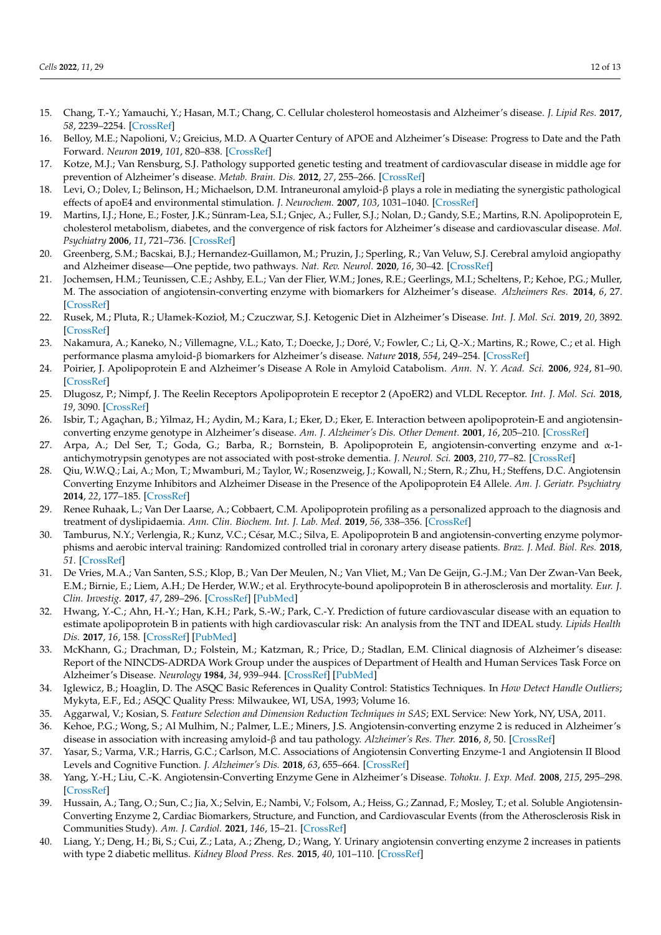- <span id="page-11-0"></span>15. Chang, T.-Y.; Yamauchi, Y.; Hasan, M.T.; Chang, C. Cellular cholesterol homeostasis and Alzheimer's disease. *J. Lipid Res.* **2017**, *58*, 2239–2254. [\[CrossRef\]](http://doi.org/10.1194/jlr.R075630)
- <span id="page-11-1"></span>16. Belloy, M.E.; Napolioni, V.; Greicius, M.D. A Quarter Century of APOE and Alzheimer's Disease: Progress to Date and the Path Forward. *Neuron* **2019**, *101*, 820–838. [\[CrossRef\]](http://doi.org/10.1016/j.neuron.2019.01.056)
- <span id="page-11-2"></span>17. Kotze, M.J.; Van Rensburg, S.J. Pathology supported genetic testing and treatment of cardiovascular disease in middle age for prevention of Alzheimer's disease. *Metab. Brain. Dis.* **2012**, *27*, 255–266. [\[CrossRef\]](http://doi.org/10.1007/s11011-012-9296-8)
- <span id="page-11-3"></span>18. Levi, O.; Dolev, I.; Belinson, H.; Michaelson, D.M. Intraneuronal amyloid-β plays a role in mediating the synergistic pathological effects of apoE4 and environmental stimulation. *J. Neurochem.* **2007**, *103*, 1031–1040. [\[CrossRef\]](http://doi.org/10.1111/j.1471-4159.2007.04810.x)
- <span id="page-11-4"></span>19. Martins, I.J.; Hone, E.; Foster, J.K.; Sünram-Lea, S.I.; Gnjec, A.; Fuller, S.J.; Nolan, D.; Gandy, S.E.; Martins, R.N. Apolipoprotein E, cholesterol metabolism, diabetes, and the convergence of risk factors for Alzheimer's disease and cardiovascular disease. *Mol. Psychiatry* **2006**, *11*, 721–736. [\[CrossRef\]](http://doi.org/10.1038/sj.mp.4001854)
- <span id="page-11-5"></span>20. Greenberg, S.M.; Bacskai, B.J.; Hernandez-Guillamon, M.; Pruzin, J.; Sperling, R.; Van Veluw, S.J. Cerebral amyloid angiopathy and Alzheimer disease—One peptide, two pathways. *Nat. Rev. Neurol.* **2020**, *16*, 30–42. [\[CrossRef\]](http://doi.org/10.1038/s41582-019-0281-2)
- <span id="page-11-6"></span>21. Jochemsen, H.M.; Teunissen, C.E.; Ashby, E.L.; Van der Flier, W.M.; Jones, R.E.; Geerlings, M.I.; Scheltens, P.; Kehoe, P.G.; Muller, M. The association of angiotensin-converting enzyme with biomarkers for Alzheimer's disease. *Alzheimers Res.* **2014**, *6*, 27. [\[CrossRef\]](http://doi.org/10.1186/alzrt257)
- <span id="page-11-7"></span>22. Rusek, M.; Pluta, R.; Ułamek-Kozioł, M.; Czuczwar, S.J. Ketogenic Diet in Alzheimer's Disease. *Int. J. Mol. Sci.* **2019**, *20*, 3892. [\[CrossRef\]](http://doi.org/10.3390/ijms20163892)
- <span id="page-11-8"></span>23. Nakamura, A.; Kaneko, N.; Villemagne, V.L.; Kato, T.; Doecke, J.; Doré, V.; Fowler, C.; Li, Q.-X.; Martins, R.; Rowe, C.; et al. High performance plasma amyloid-β biomarkers for Alzheimer's disease. *Nature* **2018**, *554*, 249–254. [\[CrossRef\]](http://doi.org/10.1038/nature25456)
- <span id="page-11-9"></span>24. Poirier, J. Apolipoprotein E and Alzheimer's Disease A Role in Amyloid Catabolism. *Ann. N. Y. Acad. Sci.* **2006**, *924*, 81–90. [\[CrossRef\]](http://doi.org/10.1111/j.1749-6632.2000.tb05564.x)
- <span id="page-11-10"></span>25. Dlugosz, P.; Nimpf, J. The Reelin Receptors Apolipoprotein E receptor 2 (ApoER2) and VLDL Receptor. *Int. J. Mol. Sci.* **2018**, *19*, 3090. [\[CrossRef\]](http://doi.org/10.3390/ijms19103090)
- <span id="page-11-11"></span>26. Isbir, T.; Agaçhan, B.; Yilmaz, H.; Aydin, M.; Kara, I.; Eker, D.; Eker, E. Interaction between apolipoprotein-E and angiotensinconverting enzyme genotype in Alzheimer's disease. *Am. J. Alzheimer's Dis. Other Dement.* **2001**, *16*, 205–210. [\[CrossRef\]](http://doi.org/10.1177/153331750101600407)
- <span id="page-11-12"></span>27. Arpa, A.; Del Ser, T.; Goda, G.; Barba, R.; Bornstein, B. Apolipoprotein E, angiotensin-converting enzyme and  $\alpha$ -1antichymotrypsin genotypes are not associated with post-stroke dementia. *J. Neurol. Sci.* **2003**, *210*, 77–82. [\[CrossRef\]](http://doi.org/10.1016/S0022-510X(03)00026-1)
- <span id="page-11-13"></span>28. Qiu, W.W.Q.; Lai, A.; Mon, T.; Mwamburi, M.; Taylor, W.; Rosenzweig, J.; Kowall, N.; Stern, R.; Zhu, H.; Steffens, D.C. Angiotensin Converting Enzyme Inhibitors and Alzheimer Disease in the Presence of the Apolipoprotein E4 Allele. *Am. J. Geriatr. Psychiatry* **2014**, *22*, 177–185. [\[CrossRef\]](http://doi.org/10.1016/j.jagp.2012.08.017)
- <span id="page-11-14"></span>29. Renee Ruhaak, L.; Van Der Laarse, A.; Cobbaert, C.M. Apolipoprotein profiling as a personalized approach to the diagnosis and treatment of dyslipidaemia. *Ann. Clin. Biochem. Int. J. Lab. Med.* **2019**, *56*, 338–356. [\[CrossRef\]](http://doi.org/10.1177/0004563219827620)
- <span id="page-11-15"></span>30. Tamburus, N.Y.; Verlengia, R.; Kunz, V.C.; César, M.C.; Silva, E. Apolipoprotein B and angiotensin-converting enzyme polymorphisms and aerobic interval training: Randomized controlled trial in coronary artery disease patients. *Braz. J. Med. Biol. Res.* **2018**, *51*. [\[CrossRef\]](http://doi.org/10.1590/1414-431x20186944)
- <span id="page-11-16"></span>31. De Vries, M.A.; Van Santen, S.S.; Klop, B.; Van Der Meulen, N.; Van Vliet, M.; Van De Geijn, G.-J.M.; Van Der Zwan-Van Beek, E.M.; Birnie, E.; Liem, A.H.; De Herder, W.W.; et al. Erythrocyte-bound apolipoprotein B in atherosclerosis and mortality. *Eur. J. Clin. Investig.* **2017**, *47*, 289–296. [\[CrossRef\]](http://doi.org/10.1111/eci.12728) [\[PubMed\]](http://www.ncbi.nlm.nih.gov/pubmed/28144944)
- <span id="page-11-17"></span>32. Hwang, Y.-C.; Ahn, H.-Y.; Han, K.H.; Park, S.-W.; Park, C.-Y. Prediction of future cardiovascular disease with an equation to estimate apolipoprotein B in patients with high cardiovascular risk: An analysis from the TNT and IDEAL study. *Lipids Health Dis.* **2017**, *16*, 158. [\[CrossRef\]](http://doi.org/10.1186/s12944-017-0549-8) [\[PubMed\]](http://www.ncbi.nlm.nih.gov/pubmed/28830468)
- <span id="page-11-18"></span>33. McKhann, G.; Drachman, D.; Folstein, M.; Katzman, R.; Price, D.; Stadlan, E.M. Clinical diagnosis of Alzheimer's disease: Report of the NINCDS-ADRDA Work Group under the auspices of Department of Health and Human Services Task Force on Alzheimer's Disease. *Neurology* **1984**, *34*, 939–944. [\[CrossRef\]](http://doi.org/10.1212/WNL.34.7.939) [\[PubMed\]](http://www.ncbi.nlm.nih.gov/pubmed/6610841)
- <span id="page-11-19"></span>34. Iglewicz, B.; Hoaglin, D. The ASQC Basic References in Quality Control: Statistics Techniques. In *How Detect Handle Outliers*; Mykyta, E.F., Ed.; ASQC Quality Press: Milwaukee, WI, USA, 1993; Volume 16.
- <span id="page-11-20"></span>35. Aggarwal, V.; Kosian, S. *Feature Selection and Dimension Reduction Techniques in SAS*; EXL Service: New York, NY, USA, 2011.
- <span id="page-11-21"></span>36. Kehoe, P.G.; Wong, S.; Al Mulhim, N.; Palmer, L.E.; Miners, J.S. Angiotensin-converting enzyme 2 is reduced in Alzheimer's disease in association with increasing amyloid-β and tau pathology. *Alzheimer's Res. Ther.* **2016**, *8*, 50. [\[CrossRef\]](http://doi.org/10.1186/s13195-016-0217-7)
- <span id="page-11-22"></span>37. Yasar, S.; Varma, V.R.; Harris, G.C.; Carlson, M.C. Associations of Angiotensin Converting Enzyme-1 and Angiotensin II Blood Levels and Cognitive Function. *J. Alzheimer's Dis.* **2018**, *63*, 655–664. [\[CrossRef\]](http://doi.org/10.3233/JAD-170944)
- <span id="page-11-23"></span>38. Yang, Y.-H.; Liu, C.-K. Angiotensin-Converting Enzyme Gene in Alzheimer's Disease. *Tohoku. J. Exp. Med.* **2008**, *215*, 295–298. [\[CrossRef\]](http://doi.org/10.1620/tjem.215.295)
- <span id="page-11-24"></span>39. Hussain, A.; Tang, O.; Sun, C.; Jia, X.; Selvin, E.; Nambi, V.; Folsom, A.; Heiss, G.; Zannad, F.; Mosley, T.; et al. Soluble Angiotensin-Converting Enzyme 2, Cardiac Biomarkers, Structure, and Function, and Cardiovascular Events (from the Atherosclerosis Risk in Communities Study). *Am. J. Cardiol.* **2021**, *146*, 15–21. [\[CrossRef\]](http://doi.org/10.1016/j.amjcard.2021.01.017)
- <span id="page-11-25"></span>40. Liang, Y.; Deng, H.; Bi, S.; Cui, Z.; Lata, A.; Zheng, D.; Wang, Y. Urinary angiotensin converting enzyme 2 increases in patients with type 2 diabetic mellitus. *Kidney Blood Press. Res.* **2015**, *40*, 101–110. [\[CrossRef\]](http://doi.org/10.1159/000368486)